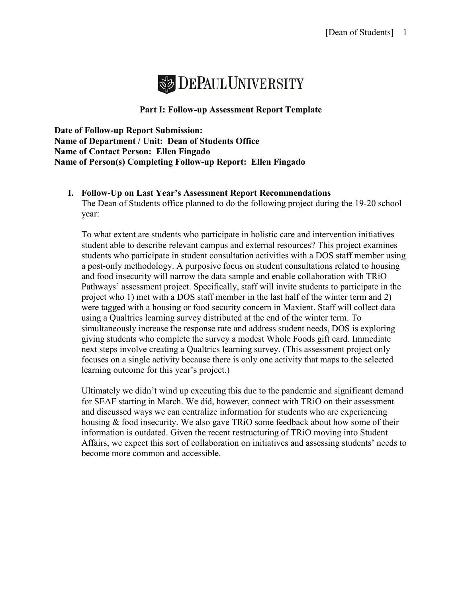

### **Part I: Follow-up Assessment Report Template**

**Date of Follow-up Report Submission: Name of Department / Unit: Dean of Students Office Name of Contact Person: Ellen Fingado Name of Person(s) Completing Follow-up Report: Ellen Fingado**

# **I. Follow-Up on Last Year's Assessment Report Recommendations**

The Dean of Students office planned to do the following project during the 19-20 school year:

To what extent are students who participate in holistic care and intervention initiatives student able to describe relevant campus and external resources? This project examines students who participate in student consultation activities with a DOS staff member using a post-only methodology. A purposive focus on student consultations related to housing and food insecurity will narrow the data sample and enable collaboration with TRiO Pathways' assessment project. Specifically, staff will invite students to participate in the project who 1) met with a DOS staff member in the last half of the winter term and 2) were tagged with a housing or food security concern in Maxient. Staff will collect data using a Qualtrics learning survey distributed at the end of the winter term. To simultaneously increase the response rate and address student needs, DOS is exploring giving students who complete the survey a modest Whole Foods gift card. Immediate next steps involve creating a Qualtrics learning survey. (This assessment project only focuses on a single activity because there is only one activity that maps to the selected learning outcome for this year's project.)

Ultimately we didn't wind up executing this due to the pandemic and significant demand for SEAF starting in March. We did, however, connect with TRiO on their assessment and discussed ways we can centralize information for students who are experiencing housing & food insecurity. We also gave TRiO some feedback about how some of their information is outdated. Given the recent restructuring of TRiO moving into Student Affairs, we expect this sort of collaboration on initiatives and assessing students' needs to become more common and accessible.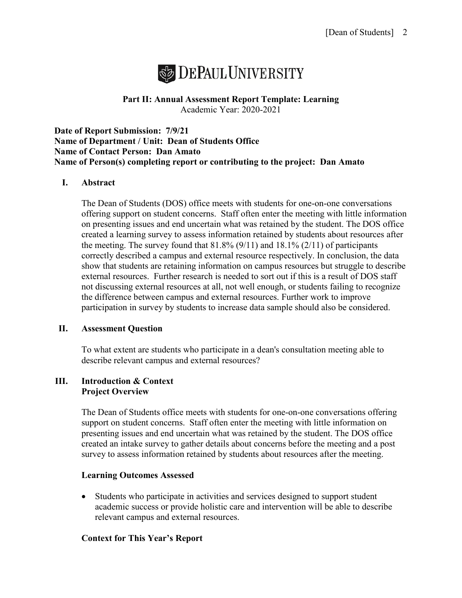

### **Part II: Annual Assessment Report Template: Learning** Academic Year: 2020-2021

**Date of Report Submission: 7/9/21 Name of Department / Unit: Dean of Students Office Name of Contact Person: Dan Amato Name of Person(s) completing report or contributing to the project: Dan Amato**

### **I. Abstract**

The Dean of Students (DOS) office meets with students for one-on-one conversations offering support on student concerns. Staff often enter the meeting with little information on presenting issues and end uncertain what was retained by the student. The DOS office created a learning survey to assess information retained by students about resources after the meeting. The survey found that  $81.8\%$  (9/11) and  $18.1\%$  (2/11) of participants correctly described a campus and external resource respectively. In conclusion, the data show that students are retaining information on campus resources but struggle to describe external resources. Further research is needed to sort out if this is a result of DOS staff not discussing external resources at all, not well enough, or students failing to recognize the difference between campus and external resources. Further work to improve participation in survey by students to increase data sample should also be considered.

### **II. Assessment Question**

To what extent are students who participate in a dean's consultation meeting able to describe relevant campus and external resources?

#### **III. Introduction & Context Project Overview**

The Dean of Students office meets with students for one-on-one conversations offering support on student concerns. Staff often enter the meeting with little information on presenting issues and end uncertain what was retained by the student. The DOS office created an intake survey to gather details about concerns before the meeting and a post survey to assess information retained by students about resources after the meeting.

### **Learning Outcomes Assessed**

• Students who participate in activities and services designed to support student academic success or provide holistic care and intervention will be able to describe relevant campus and external resources.

### **Context for This Year's Report**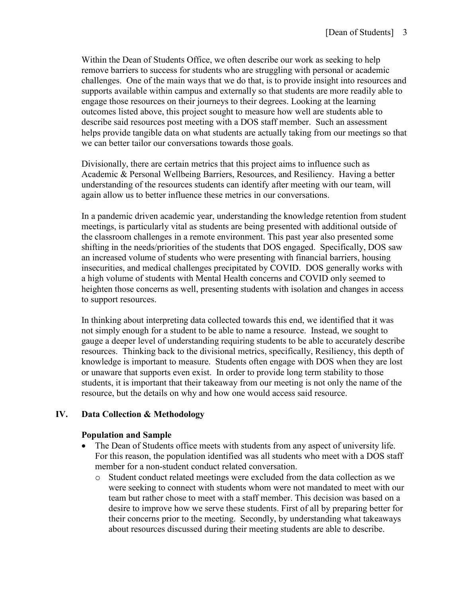Within the Dean of Students Office, we often describe our work as seeking to help remove barriers to success for students who are struggling with personal or academic challenges. One of the main ways that we do that, is to provide insight into resources and supports available within campus and externally so that students are more readily able to engage those resources on their journeys to their degrees. Looking at the learning outcomes listed above, this project sought to measure how well are students able to describe said resources post meeting with a DOS staff member. Such an assessment helps provide tangible data on what students are actually taking from our meetings so that we can better tailor our conversations towards those goals.

Divisionally, there are certain metrics that this project aims to influence such as Academic & Personal Wellbeing Barriers, Resources, and Resiliency. Having a better understanding of the resources students can identify after meeting with our team, will again allow us to better influence these metrics in our conversations.

In a pandemic driven academic year, understanding the knowledge retention from student meetings, is particularly vital as students are being presented with additional outside of the classroom challenges in a remote environment. This past year also presented some shifting in the needs/priorities of the students that DOS engaged. Specifically, DOS saw an increased volume of students who were presenting with financial barriers, housing insecurities, and medical challenges precipitated by COVID. DOS generally works with a high volume of students with Mental Health concerns and COVID only seemed to heighten those concerns as well, presenting students with isolation and changes in access to support resources.

In thinking about interpreting data collected towards this end, we identified that it was not simply enough for a student to be able to name a resource. Instead, we sought to gauge a deeper level of understanding requiring students to be able to accurately describe resources. Thinking back to the divisional metrics, specifically, Resiliency, this depth of knowledge is important to measure. Students often engage with DOS when they are lost or unaware that supports even exist. In order to provide long term stability to those students, it is important that their takeaway from our meeting is not only the name of the resource, but the details on why and how one would access said resource.

## **IV. Data Collection & Methodology**

### **Population and Sample**

- The Dean of Students office meets with students from any aspect of university life. For this reason, the population identified was all students who meet with a DOS staff member for a non-student conduct related conversation.
	- o Student conduct related meetings were excluded from the data collection as we were seeking to connect with students whom were not mandated to meet with our team but rather chose to meet with a staff member. This decision was based on a desire to improve how we serve these students. First of all by preparing better for their concerns prior to the meeting. Secondly, by understanding what takeaways about resources discussed during their meeting students are able to describe.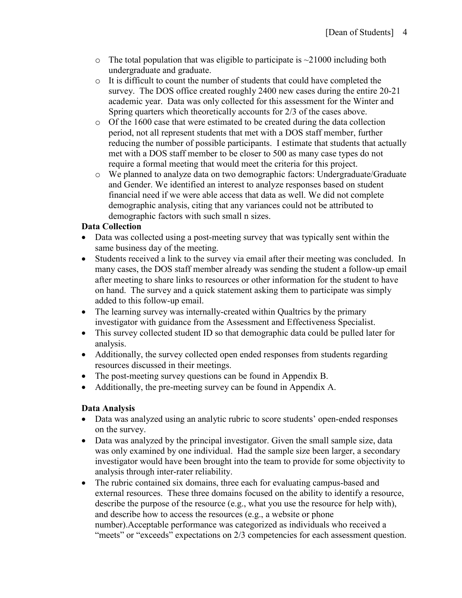- $\circ$  The total population that was eligible to participate is  $\sim$  21000 including both undergraduate and graduate.
- $\circ$  It is difficult to count the number of students that could have completed the survey. The DOS office created roughly 2400 new cases during the entire 20-21 academic year. Data was only collected for this assessment for the Winter and Spring quarters which theoretically accounts for 2/3 of the cases above.
- $\circ$  Of the 1600 case that were estimated to be created during the data collection period, not all represent students that met with a DOS staff member, further reducing the number of possible participants. I estimate that students that actually met with a DOS staff member to be closer to 500 as many case types do not require a formal meeting that would meet the criteria for this project.
- o We planned to analyze data on two demographic factors: Undergraduate/Graduate and Gender. We identified an interest to analyze responses based on student financial need if we were able access that data as well. We did not complete demographic analysis, citing that any variances could not be attributed to demographic factors with such small n sizes.

## **Data Collection**

- Data was collected using a post-meeting survey that was typically sent within the same business day of the meeting.
- Students received a link to the survey via email after their meeting was concluded. In many cases, the DOS staff member already was sending the student a follow-up email after meeting to share links to resources or other information for the student to have on hand. The survey and a quick statement asking them to participate was simply added to this follow-up email.
- The learning survey was internally-created within Qualtrics by the primary investigator with guidance from the Assessment and Effectiveness Specialist.
- This survey collected student ID so that demographic data could be pulled later for analysis.
- Additionally, the survey collected open ended responses from students regarding resources discussed in their meetings.
- The post-meeting survey questions can be found in Appendix B.
- Additionally, the pre-meeting survey can be found in Appendix A.

# **Data Analysis**

- Data was analyzed using an analytic rubric to score students' open-ended responses on the survey.
- Data was analyzed by the principal investigator. Given the small sample size, data was only examined by one individual. Had the sample size been larger, a secondary investigator would have been brought into the team to provide for some objectivity to analysis through inter-rater reliability.
- The rubric contained six domains, three each for evaluating campus-based and external resources. These three domains focused on the ability to identify a resource, describe the purpose of the resource (e.g., what you use the resource for help with), and describe how to access the resources (e.g., a website or phone number).Acceptable performance was categorized as individuals who received a "meets" or "exceeds" expectations on 2/3 competencies for each assessment question.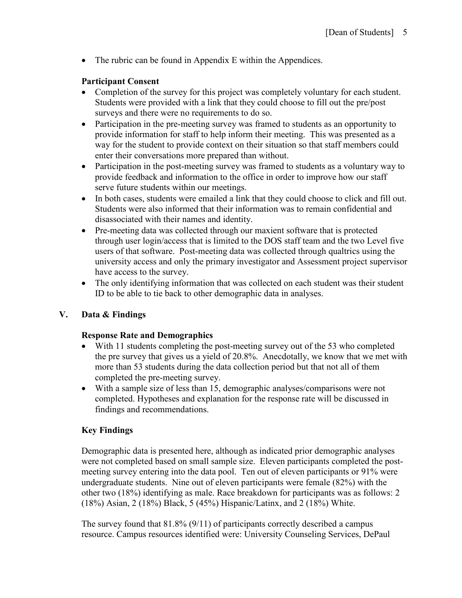• The rubric can be found in Appendix E within the Appendices.

## **Participant Consent**

- Completion of the survey for this project was completely voluntary for each student. Students were provided with a link that they could choose to fill out the pre/post surveys and there were no requirements to do so.
- Participation in the pre-meeting survey was framed to students as an opportunity to provide information for staff to help inform their meeting. This was presented as a way for the student to provide context on their situation so that staff members could enter their conversations more prepared than without.
- Participation in the post-meeting survey was framed to students as a voluntary way to provide feedback and information to the office in order to improve how our staff serve future students within our meetings.
- In both cases, students were emailed a link that they could choose to click and fill out. Students were also informed that their information was to remain confidential and disassociated with their names and identity.
- Pre-meeting data was collected through our maxient software that is protected through user login/access that is limited to the DOS staff team and the two Level five users of that software. Post-meeting data was collected through qualtrics using the university access and only the primary investigator and Assessment project supervisor have access to the survey.
- The only identifying information that was collected on each student was their student ID to be able to tie back to other demographic data in analyses.

# **V. Data & Findings**

## **Response Rate and Demographics**

- With 11 students completing the post-meeting survey out of the 53 who completed the pre survey that gives us a yield of 20.8%. Anecdotally, we know that we met with more than 53 students during the data collection period but that not all of them completed the pre-meeting survey.
- With a sample size of less than 15, demographic analyses/comparisons were not completed. Hypotheses and explanation for the response rate will be discussed in findings and recommendations.

# **Key Findings**

Demographic data is presented here, although as indicated prior demographic analyses were not completed based on small sample size. Eleven participants completed the postmeeting survey entering into the data pool. Ten out of eleven participants or 91% were undergraduate students. Nine out of eleven participants were female (82%) with the other two (18%) identifying as male. Race breakdown for participants was as follows: 2 (18%) Asian, 2 (18%) Black, 5 (45%) Hispanic/Latinx, and 2 (18%) White.

The survey found that 81.8% (9/11) of participants correctly described a campus resource. Campus resources identified were: University Counseling Services, DePaul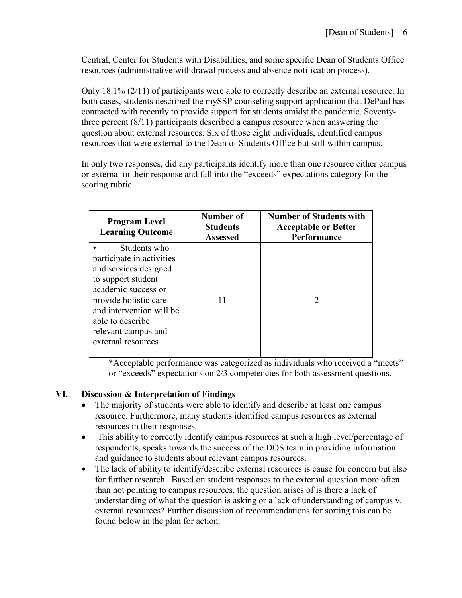Central, Center for Students with Disabilities, and some specific Dean of Students Office resources (administrative withdrawal process and absence notification process).

Only 18.1% (2/11) of participants were able to correctly describe an external resource. In both cases, students described the mySSP counseling support application that DePaul has contracted with recently to provide support for students amidst the pandemic. Seventythree percent (8/11) participants described a campus resource when answering the question about external resources. Six of those eight individuals, identified campus resources that were external to the Dean of Students Office but still within campus.

In only two responses, did any participants identify more than one resource either campus or external in their response and fall into the "exceeds" expectations category for the scoring rubric.

| <b>Program Level</b><br><b>Learning Outcome</b>                                                                                                                                                                                       | Number of<br><b>Students</b><br><b>Assessed</b> | <b>Number of Students with</b><br><b>Acceptable or Better</b><br>Performance |
|---------------------------------------------------------------------------------------------------------------------------------------------------------------------------------------------------------------------------------------|-------------------------------------------------|------------------------------------------------------------------------------|
| Students who<br>participate in activities<br>and services designed<br>to support student<br>academic success or<br>provide holistic care<br>and intervention will be<br>able to describe<br>relevant campus and<br>external resources | 11                                              | $\mathcal{D}_{\mathcal{L}}$                                                  |

\*Acceptable performance was categorized as individuals who received a "meets" or "exceeds" expectations on 2/3 competencies for both assessment questions.

## **VI. Discussion & Interpretation of Findings**

- The majority of students were able to identify and describe at least one campus resource. Furthermore, many students identified campus resources as external resources in their responses.
- This ability to correctly identify campus resources at such a high level/percentage of respondents, speaks towards the success of the DOS team in providing information and guidance to students about relevant campus resources.
- The lack of ability to identify/describe external resources is cause for concern but also for further research. Based on student responses to the external question more often than not pointing to campus resources, the question arises of is there a lack of understanding of what the question is asking or a lack of understanding of campus v. external resources? Further discussion of recommendations for sorting this can be found below in the plan for action.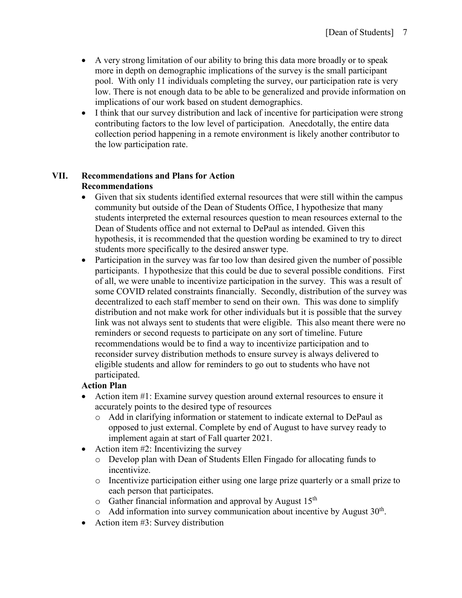- A very strong limitation of our ability to bring this data more broadly or to speak more in depth on demographic implications of the survey is the small participant pool. With only 11 individuals completing the survey, our participation rate is very low. There is not enough data to be able to be generalized and provide information on implications of our work based on student demographics.
- I think that our survey distribution and lack of incentive for participation were strong contributing factors to the low level of participation. Anecdotally, the entire data collection period happening in a remote environment is likely another contributor to the low participation rate.

## **VII. Recommendations and Plans for Action Recommendations**

- Given that six students identified external resources that were still within the campus community but outside of the Dean of Students Office, I hypothesize that many students interpreted the external resources question to mean resources external to the Dean of Students office and not external to DePaul as intended. Given this hypothesis, it is recommended that the question wording be examined to try to direct students more specifically to the desired answer type.
- Participation in the survey was far too low than desired given the number of possible participants. I hypothesize that this could be due to several possible conditions. First of all, we were unable to incentivize participation in the survey. This was a result of some COVID related constraints financially. Secondly, distribution of the survey was decentralized to each staff member to send on their own. This was done to simplify distribution and not make work for other individuals but it is possible that the survey link was not always sent to students that were eligible. This also meant there were no reminders or second requests to participate on any sort of timeline. Future recommendations would be to find a way to incentivize participation and to reconsider survey distribution methods to ensure survey is always delivered to eligible students and allow for reminders to go out to students who have not participated.

# **Action Plan**

- Action item #1: Examine survey question around external resources to ensure it accurately points to the desired type of resources
	- o Add in clarifying information or statement to indicate external to DePaul as opposed to just external. Complete by end of August to have survey ready to implement again at start of Fall quarter 2021.
- Action item  $#2$ : Incentivizing the survey
	- o Develop plan with Dean of Students Ellen Fingado for allocating funds to incentivize.
	- o Incentivize participation either using one large prize quarterly or a small prize to each person that participates.
	- $\circ$  Gather financial information and approval by August 15<sup>th</sup>
	- $\circ$  Add information into survey communication about incentive by August 30<sup>th</sup>.
- Action item #3: Survey distribution